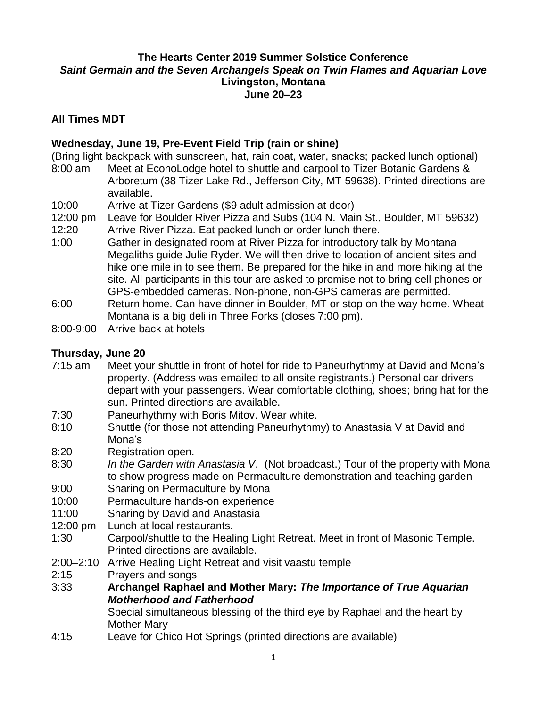# **The Hearts Center 2019 Summer Solstice Conference** *Saint Germain and the Seven Archangels Speak on Twin Flames and Aquarian Love* **Livingston, Montana June 20–23**

### **All Times MDT**

### **Wednesday, June 19, Pre-Event Field Trip (rain or shine)**

(Bring light backpack with sunscreen, hat, rain coat, water, snacks; packed lunch optional)

- 8:00 am Meet at EconoLodge hotel to shuttle and carpool to Tizer Botanic Gardens & Arboretum (38 Tizer Lake Rd., Jefferson City, MT 59638). Printed directions are available.
- 10:00 Arrive at Tizer Gardens (\$9 adult admission at door)
- 12:00 pm Leave for Boulder River Pizza and Subs (104 N. Main St., Boulder, MT 59632) 12:20 Arrive River Pizza. Eat packed lunch or order lunch there.
- 1:00 Gather in designated room at River Pizza for introductory talk by Montana Megaliths guide Julie Ryder. We will then drive to location of ancient sites and hike one mile in to see them. Be prepared for the hike in and more hiking at the site. All participants in this tour are asked to promise not to bring cell phones or GPS-embedded cameras. Non-phone, non-GPS cameras are permitted.
- 6:00 Return home. Can have dinner in Boulder, MT or stop on the way home. Wheat Montana is a big deli in Three Forks (closes 7:00 pm).
- 8:00-9:00 Arrive back at hotels

#### **Thursday, June 20**

- 7:15 am Meet your shuttle in front of hotel for ride to Paneurhythmy at David and Mona's property. (Address was emailed to all onsite registrants.) Personal car drivers depart with your passengers. Wear comfortable clothing, shoes; bring hat for the sun. Printed directions are available.
- 7:30 Paneurhythmy with Boris Mitov. Wear white.
- 8:10 Shuttle (for those not attending Paneurhythmy) to Anastasia V at David and Mona's
- 8:20 Registration open.
- 8:30 *In the Garden with Anastasia V*. (Not broadcast.) Tour of the property with Mona to show progress made on Permaculture demonstration and teaching garden
- 9:00 Sharing on Permaculture by Mona
- 10:00 Permaculture hands-on experience
- 11:00 Sharing by David and Anastasia
- 12:00 pm Lunch at local restaurants.
- 1:30 Carpool/shuttle to the Healing Light Retreat. Meet in front of Masonic Temple. Printed directions are available.
- 2:00–2:10 Arrive Healing Light Retreat and visit vaastu temple
- 2:15 Prayers and songs
- 3:33 **Archangel Raphael and Mother Mary:** *The Importance of True Aquarian Motherhood and Fatherhood*

Special simultaneous blessing of the third eye by Raphael and the heart by Mother Mary

4:15 Leave for Chico Hot Springs (printed directions are available)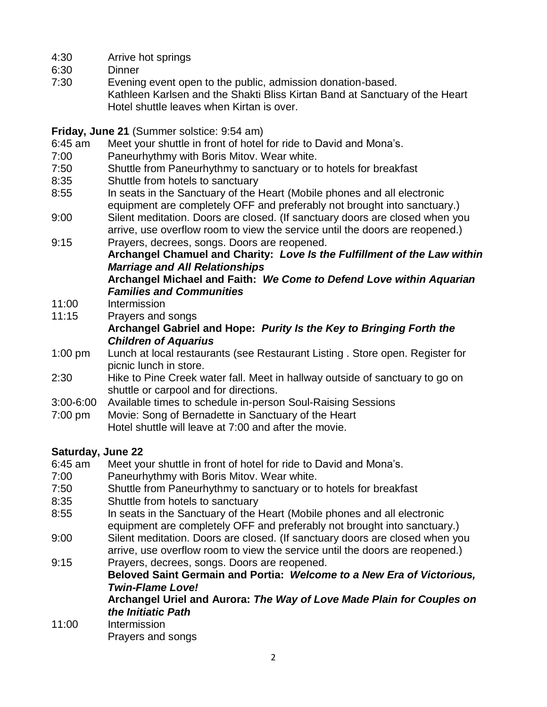- 4:30 Arrive hot springs
- 6:30 Dinner
- 7:30 Evening event open to the public, admission donation-based. Kathleen Karlsen and the Shakti Bliss Kirtan Band at Sanctuary of the Heart Hotel shuttle leaves when Kirtan is over.

### **Friday, June 21** (Summer solstice: 9:54 am)

- 6:45 am Meet your shuttle in front of hotel for ride to David and Mona's.
- 7:00 Paneurhythmy with Boris Mitov. Wear white.
- 7:50 Shuttle from Paneurhythmy to sanctuary or to hotels for breakfast
- 8:35 Shuttle from hotels to sanctuary
- 8:55 In seats in the Sanctuary of the Heart (Mobile phones and all electronic equipment are completely OFF and preferably not brought into sanctuary.)
- 9:00 Silent meditation. Doors are closed. (If sanctuary doors are closed when you arrive, use overflow room to view the service until the doors are reopened.)
- 9:15 Prayers, decrees, songs. Doors are reopened. **Archangel Chamuel and Charity:** *Love Is the Fulfillment of the Law within Marriage and All Relationships* **Archangel Michael and Faith:** *We Come to Defend Love within Aquarian Families and Communities*
- 11:00 Intermission
- 11:15 Prayers and songs

# **Archangel Gabriel and Hope:** *Purity Is the Key to Bringing Forth the Children of Aquarius*

- 1:00 pm Lunch at local restaurants (see Restaurant Listing . Store open. Register for picnic lunch in store.
- 2:30 Hike to Pine Creek water fall. Meet in hallway outside of sanctuary to go on shuttle or carpool and for directions.
- 3:00-6:00 Available times to schedule in-person Soul-Raising Sessions
- 7:00 pm Movie: Song of Bernadette in Sanctuary of the Heart Hotel shuttle will leave at 7:00 and after the movie.

# **Saturday, June 22**

- 6:45 am Meet your shuttle in front of hotel for ride to David and Mona's.
- 7:00 Paneurhythmy with Boris Mitov. Wear white.
- 7:50 Shuttle from Paneurhythmy to sanctuary or to hotels for breakfast
- 8:35 Shuttle from hotels to sanctuary
- 8:55 In seats in the Sanctuary of the Heart (Mobile phones and all electronic equipment are completely OFF and preferably not brought into sanctuary.)
- 9:00 Silent meditation. Doors are closed. (If sanctuary doors are closed when you arrive, use overflow room to view the service until the doors are reopened.)
- 9:15 Prayers, decrees, songs. Doors are reopened. **Beloved Saint Germain and Portia:** *Welcome to a New Era of Victorious, Twin-Flame Love!*

**Archangel Uriel and Aurora:** *The Way of Love Made Plain for Couples on the Initiatic Path*

11:00 Intermission Prayers and songs